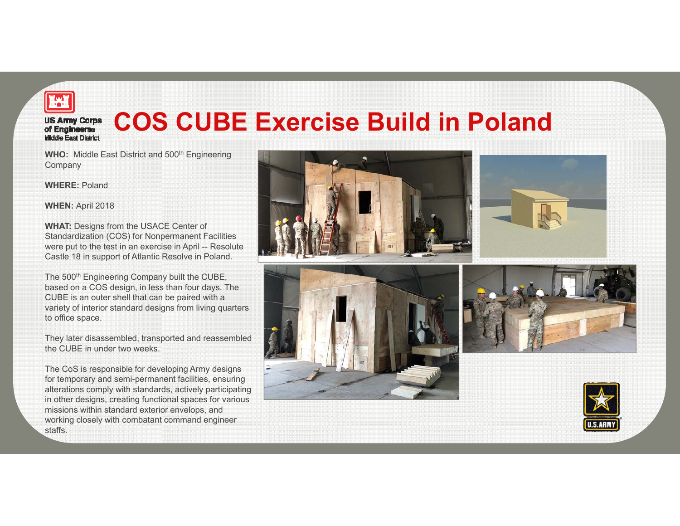

## **COS CUBE Exercise Build in Poland US Army Corps<br>of Engineerse Middle East District**

**WHO:** Middle East District and 500<sup>th</sup> Engineering **Company** 

**WHERE:** Poland

**WHEN:** April 2018

**WHAT:** Designs from the USACE Center of Standardization (COS) for Nonpermanent Facilities were put to the test in an exercise in April -- Resolute Castle 18 in support of Atlantic Resolve in Poland.

The 500<sup>th</sup> Engineering Company built the CUBE, based on a COS design, in less than four days. The CUBE is an outer shell that can be paired with a variety of interior standard designs from living quarters to office space.

They later disassembled, transported and reassembled the CUBE in under two weeks.

The CoS is responsible for developing Army designs for temporary and semi-permanent facilities, ensuring alterations comply with standards, actively participating in other designs, creating functional spaces for various missions within standard exterior envelops, and working closely with combatant command engineer staffs.









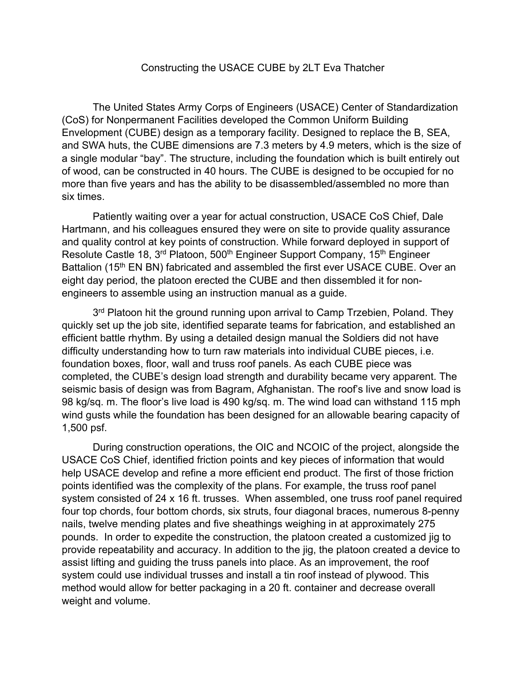## Constructing the USACE CUBE by 2LT Eva Thatcher

The United States Army Corps of Engineers (USACE) Center of Standardization (CoS) for Nonpermanent Facilities developed the Common Uniform Building Envelopment (CUBE) design as a temporary facility. Designed to replace the B, SEA, and SWA huts, the CUBE dimensions are 7.3 meters by 4.9 meters, which is the size of a single modular "bay". The structure, including the foundation which is built entirely out of wood, can be constructed in 40 hours. The CUBE is designed to be occupied for no more than five years and has the ability to be disassembled/assembled no more than six times.

Patiently waiting over a year for actual construction, USACE CoS Chief, Dale Hartmann, and his colleagues ensured they were on site to provide quality assurance and quality control at key points of construction. While forward deployed in support of Resolute Castle 18, 3<sup>rd</sup> Platoon, 500<sup>th</sup> Engineer Support Company, 15<sup>th</sup> Engineer Battalion (15<sup>th</sup> EN BN) fabricated and assembled the first ever USACE CUBE. Over an eight day period, the platoon erected the CUBE and then dissembled it for nonengineers to assemble using an instruction manual as a guide.

3<sup>rd</sup> Platoon hit the ground running upon arrival to Camp Trzebien, Poland. They quickly set up the job site, identified separate teams for fabrication, and established an efficient battle rhythm. By using a detailed design manual the Soldiers did not have difficulty understanding how to turn raw materials into individual CUBE pieces, i.e. foundation boxes, floor, wall and truss roof panels. As each CUBE piece was completed, the CUBE's design load strength and durability became very apparent. The seismic basis of design was from Bagram, Afghanistan. The roof's live and snow load is 98 kg/sq. m. The floor's live load is 490 kg/sq. m. The wind load can withstand 115 mph wind gusts while the foundation has been designed for an allowable bearing capacity of 1,500 psf.

 During construction operations, the OIC and NCOIC of the project, alongside the USACE CoS Chief, identified friction points and key pieces of information that would help USACE develop and refine a more efficient end product. The first of those friction points identified was the complexity of the plans. For example, the truss roof panel system consisted of 24 x 16 ft. trusses. When assembled, one truss roof panel required four top chords, four bottom chords, six struts, four diagonal braces, numerous 8-penny nails, twelve mending plates and five sheathings weighing in at approximately 275 pounds. In order to expedite the construction, the platoon created a customized jig to provide repeatability and accuracy. In addition to the jig, the platoon created a device to assist lifting and guiding the truss panels into place. As an improvement, the roof system could use individual trusses and install a tin roof instead of plywood. This method would allow for better packaging in a 20 ft. container and decrease overall weight and volume.